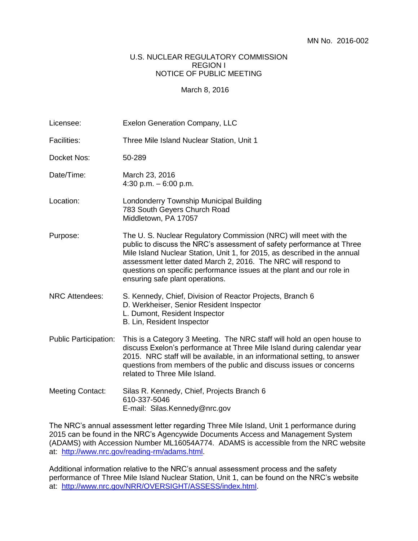## U.S. NUCLEAR REGULATORY COMMISSION REGION I NOTICE OF PUBLIC MEETING

## March 8, 2016

| Licensee:                    | <b>Exelon Generation Company, LLC</b>                                                                                                                                                                                                                                                                                                                                                               |
|------------------------------|-----------------------------------------------------------------------------------------------------------------------------------------------------------------------------------------------------------------------------------------------------------------------------------------------------------------------------------------------------------------------------------------------------|
| <b>Facilities:</b>           | Three Mile Island Nuclear Station, Unit 1                                                                                                                                                                                                                                                                                                                                                           |
| Docket Nos:                  | 50-289                                                                                                                                                                                                                                                                                                                                                                                              |
| Date/Time:                   | March 23, 2016<br>4:30 p.m. $-6:00$ p.m.                                                                                                                                                                                                                                                                                                                                                            |
| Location:                    | Londonderry Township Municipal Building<br>783 South Geyers Church Road<br>Middletown, PA 17057                                                                                                                                                                                                                                                                                                     |
| Purpose:                     | The U.S. Nuclear Regulatory Commission (NRC) will meet with the<br>public to discuss the NRC's assessment of safety performance at Three<br>Mile Island Nuclear Station, Unit 1, for 2015, as described in the annual<br>assessment letter dated March 2, 2016. The NRC will respond to<br>questions on specific performance issues at the plant and our role in<br>ensuring safe plant operations. |
| <b>NRC Attendees:</b>        | S. Kennedy, Chief, Division of Reactor Projects, Branch 6<br>D. Werkheiser, Senior Resident Inspector<br>L. Dumont, Resident Inspector<br>B. Lin, Resident Inspector                                                                                                                                                                                                                                |
| <b>Public Participation:</b> | This is a Category 3 Meeting. The NRC staff will hold an open house to<br>discuss Exelon's performance at Three Mile Island during calendar year<br>2015. NRC staff will be available, in an informational setting, to answer<br>questions from members of the public and discuss issues or concerns<br>related to Three Mile Island.                                                               |
| <b>Meeting Contact:</b>      | Silas R. Kennedy, Chief, Projects Branch 6<br>610-337-5046<br>E-mail: Silas.Kennedy@nrc.gov                                                                                                                                                                                                                                                                                                         |

The NRC's annual assessment letter regarding Three Mile Island, Unit 1 performance during 2015 can be found in the NRC's Agencywide Documents Access and Management System (ADAMS) with Accession Number ML16054A774. ADAMS is accessible from the NRC website at: [http://www.nrc.gov/reading-rm/adams.html.](http://www.nrc.gov/reading-rm/adams.html)

Additional information relative to the NRC's annual assessment process and the safety performance of Three Mile Island Nuclear Station, Unit 1, can be found on the NRC's website at: [http://www.nrc.gov/NRR/OVERSIGHT/ASSESS/index.html.](http://www.nrc.gov/NRR/OVERSIGHT/ASSESS/index.html)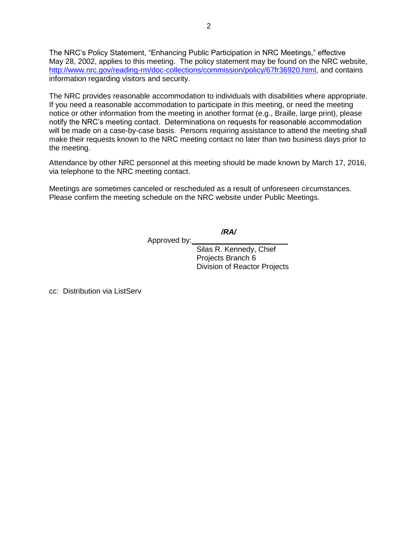The NRC's Policy Statement, "Enhancing Public Participation in NRC Meetings," effective May 28, 2002, applies to this meeting. The policy statement may be found on the NRC website, [http://www.nrc.gov/reading-rm/doc-collections/commission/policy/67fr36920.html,](http://www.nrc.gov/reading-rm/doc-collections/commission/policy/67fr36920.html) and contains information regarding visitors and security.

The NRC provides reasonable accommodation to individuals with disabilities where appropriate. If you need a reasonable accommodation to participate in this meeting, or need the meeting notice or other information from the meeting in another format (e.g., Braille, large print), please notify the NRC's meeting contact. Determinations on requests for reasonable accommodation will be made on a case-by-case basis. Persons requiring assistance to attend the meeting shall make their requests known to the NRC meeting contact no later than two business days prior to the meeting.

Attendance by other NRC personnel at this meeting should be made known by March 17, 2016, via telephone to the NRC meeting contact.

Meetings are sometimes canceled or rescheduled as a result of unforeseen circumstances. Please confirm the meeting schedule on the NRC website under Public Meetings.

*/RA/*

Approved by:**\_\_\_\_\_\_\_\_\_\_\_\_\_\_\_\_\_\_\_**\_\_\_\_

Silas R. Kennedy, Chief Projects Branch 6 Division of Reactor Projects

cc: Distribution via ListServ